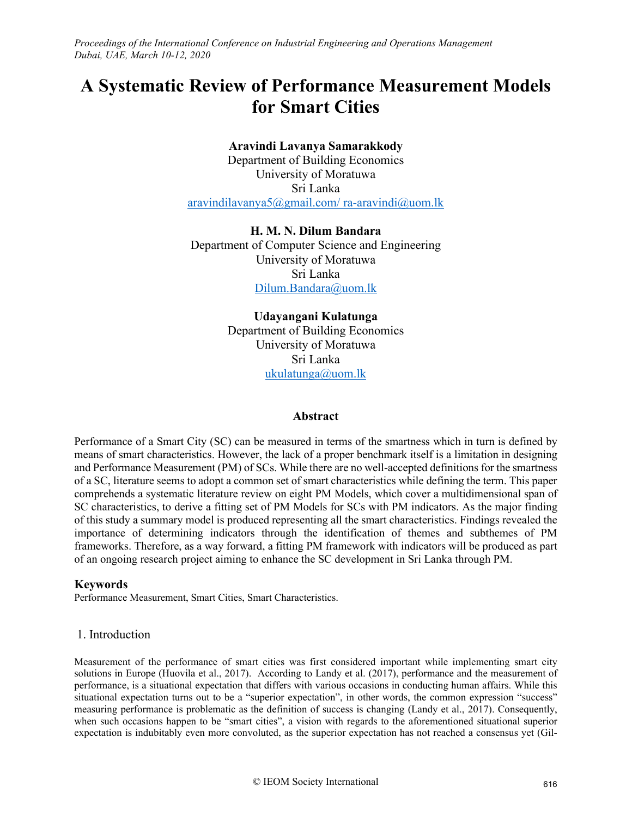# **A Systematic Review of Performance Measurement Models for Smart Cities**

# **Aravindi Lavanya Samarakkody**

Department of Building Economics University of Moratuwa Sri Lanka aravindilavanya $5@g$ mail.com/ra-aravindi $@$ uom.lk

**H. M. N. Dilum Bandara** Department of Computer Science and Engineering University of Moratuwa Sri Lanka [Dilum.Bandara@uom.lk](mailto:Dilum.Bandara@uom.lk) 

> **Udayangani Kulatunga**  Department of Building Economics University of Moratuwa Sri Lanka ukulatunga@uom.lk

## **Abstract**

Performance of a Smart City (SC) can be measured in terms of the smartness which in turn is defined by means of smart characteristics. However, the lack of a proper benchmark itself is a limitation in designing and Performance Measurement (PM) of SCs. While there are no well-accepted definitions for the smartness of a SC, literature seems to adopt a common set of smart characteristics while defining the term. This paper comprehends a systematic literature review on eight PM Models, which cover a multidimensional span of SC characteristics, to derive a fitting set of PM Models for SCs with PM indicators. As the major finding of this study a summary model is produced representing all the smart characteristics. Findings revealed the importance of determining indicators through the identification of themes and subthemes of PM frameworks. Therefore, as a way forward, a fitting PM framework with indicators will be produced as part of an ongoing research project aiming to enhance the SC development in Sri Lanka through PM.

# **Keywords**

Performance Measurement, Smart Cities, Smart Characteristics.

## 1. Introduction

Measurement of the performance of smart cities was first considered important while implementing smart city solutions in Europe (Huovila et al., 2017). According to Landy et al. (2017), performance and the measurement of performance, is a situational expectation that differs with various occasions in conducting human affairs. While this situational expectation turns out to be a "superior expectation", in other words, the common expression "success" measuring performance is problematic as the definition of success is changing (Landy et al., 2017). Consequently, when such occasions happen to be "smart cities", a vision with regards to the aforementioned situational superior expectation is indubitably even more convoluted, as the superior expectation has not reached a consensus yet (Gil-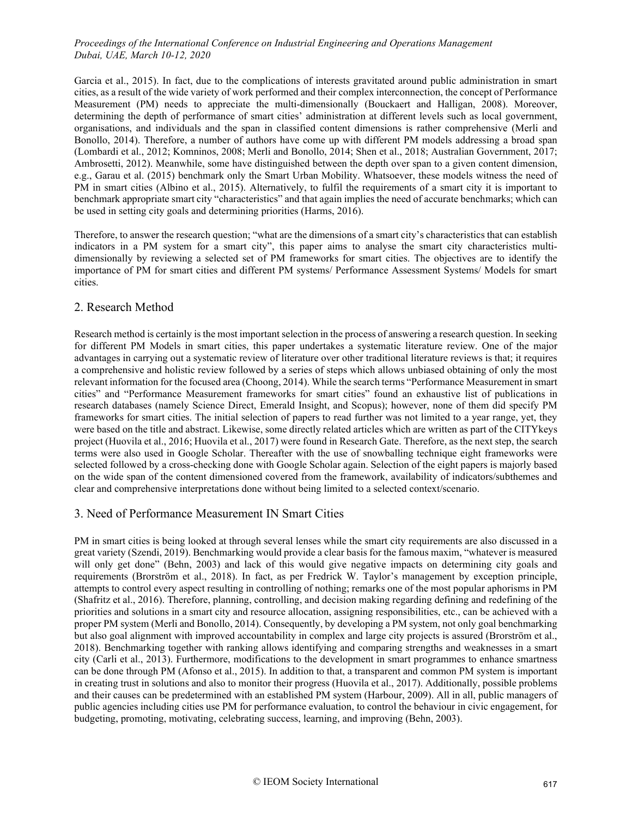Garcia et al., 2015). In fact, due to the complications of interests gravitated around public administration in smart cities, as a result of the wide variety of work performed and their complex interconnection, the concept of Performance Measurement (PM) needs to appreciate the multi-dimensionally (Bouckaert and Halligan, 2008). Moreover, determining the depth of performance of smart cities' administration at different levels such as local government, organisations, and individuals and the span in classified content dimensions is rather comprehensive (Merli and Bonollo, 2014). Therefore, a number of authors have come up with different PM models addressing a broad span (Lombardi et al., 2012; Komninos, 2008; Merli and Bonollo, 2014; Shen et al., 2018; Australian Government, 2017; Ambrosetti, 2012). Meanwhile, some have distinguished between the depth over span to a given content dimension, e.g., Garau et al. (2015) benchmark only the Smart Urban Mobility. Whatsoever, these models witness the need of PM in smart cities (Albino et al., 2015). Alternatively, to fulfil the requirements of a smart city it is important to benchmark appropriate smart city "characteristics" and that again implies the need of accurate benchmarks; which can be used in setting city goals and determining priorities (Harms, 2016).

Therefore, to answer the research question; "what are the dimensions of a smart city's characteristics that can establish indicators in a PM system for a smart city", this paper aims to analyse the smart city characteristics multidimensionally by reviewing a selected set of PM frameworks for smart cities. The objectives are to identify the importance of PM for smart cities and different PM systems/ Performance Assessment Systems/ Models for smart cities.

#### 2. Research Method

Research method is certainly is the most important selection in the process of answering a research question. In seeking for different PM Models in smart cities, this paper undertakes a systematic literature review. One of the major advantages in carrying out a systematic review of literature over other traditional literature reviews is that; it requires a comprehensive and holistic review followed by a series of steps which allows unbiased obtaining of only the most relevant information for the focused area (Choong, 2014). While the search terms "Performance Measurement in smart cities" and "Performance Measurement frameworks for smart cities" found an exhaustive list of publications in research databases (namely Science Direct, Emerald Insight, and Scopus); however, none of them did specify PM frameworks for smart cities. The initial selection of papers to read further was not limited to a year range, yet, they were based on the title and abstract. Likewise, some directly related articles which are written as part of the CITYkeys project (Huovila et al., 2016; Huovila et al., 2017) were found in Research Gate. Therefore, as the next step, the search terms were also used in Google Scholar. Thereafter with the use of snowballing technique eight frameworks were selected followed by a cross-checking done with Google Scholar again. Selection of the eight papers is majorly based on the wide span of the content dimensioned covered from the framework, availability of indicators/subthemes and clear and comprehensive interpretations done without being limited to a selected context/scenario.

## 3. Need of Performance Measurement IN Smart Cities

PM in smart cities is being looked at through several lenses while the smart city requirements are also discussed in a great variety (Szendi, 2019). Benchmarking would provide a clear basis for the famous maxim, "whatever is measured will only get done" (Behn, 2003) and lack of this would give negative impacts on determining city goals and requirements (Brorström et al., 2018). In fact, as per Fredrick W. Taylor's management by exception principle, attempts to control every aspect resulting in controlling of nothing; remarks one of the most popular aphorisms in PM (Shafritz et al., 2016). Therefore, planning, controlling, and decision making regarding defining and redefining of the priorities and solutions in a smart city and resource allocation, assigning responsibilities, etc., can be achieved with a proper PM system (Merli and Bonollo, 2014). Consequently, by developing a PM system, not only goal benchmarking but also goal alignment with improved accountability in complex and large city projects is assured (Brorström et al., 2018). Benchmarking together with ranking allows identifying and comparing strengths and weaknesses in a smart city (Carli et al., 2013). Furthermore, modifications to the development in smart programmes to enhance smartness can be done through PM (Afonso et al., 2015). In addition to that, a transparent and common PM system is important in creating trust in solutions and also to monitor their progress (Huovila et al., 2017). Additionally, possible problems and their causes can be predetermined with an established PM system (Harbour, 2009). All in all, public managers of public agencies including cities use PM for performance evaluation, to control the behaviour in civic engagement, for budgeting, promoting, motivating, celebrating success, learning, and improving (Behn, 2003).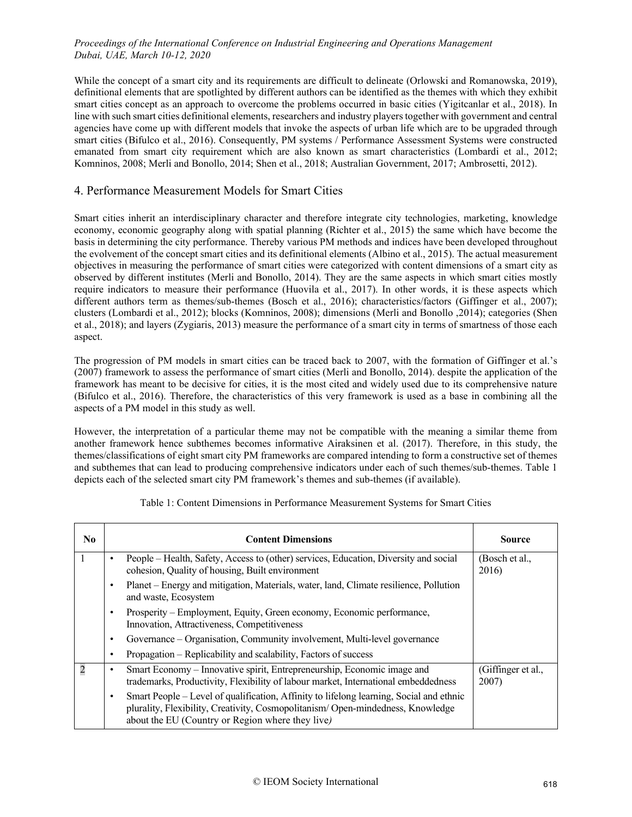While the concept of a smart city and its requirements are difficult to delineate (Orlowski and Romanowska, 2019), definitional elements that are spotlighted by different authors can be identified as the themes with which they exhibit smart cities concept as an approach to overcome the problems occurred in basic cities (Yigitcanlar et al., 2018). In line with such smart cities definitional elements, researchers and industry players together with government and central agencies have come up with different models that invoke the aspects of urban life which are to be upgraded through smart cities (Bifulco et al., 2016). Consequently, PM systems / Performance Assessment Systems were constructed emanated from smart city requirement which are also known as smart characteristics (Lombardi et al., 2012; Komninos, 2008; Merli and Bonollo, 2014; Shen et al., 2018; Australian Government, 2017; Ambrosetti, 2012).

## 4. Performance Measurement Models for Smart Cities

Smart cities inherit an interdisciplinary character and therefore integrate city technologies, marketing, knowledge economy, economic geography along with spatial planning (Richter et al., 2015) the same which have become the basis in determining the city performance. Thereby various PM methods and indices have been developed throughout the evolvement of the concept smart cities and its definitional elements (Albino et al., 2015). The actual measurement objectives in measuring the performance of smart cities were categorized with content dimensions of a smart city as observed by different institutes (Merli and Bonollo, 2014). They are the same aspects in which smart cities mostly require indicators to measure their performance (Huovila et al., 2017). In other words, it is these aspects which different authors term as themes/sub-themes (Bosch et al., 2016); characteristics/factors (Giffinger et al., 2007); clusters (Lombardi et al., 2012); blocks (Komninos, 2008); dimensions (Merli and Bonollo ,2014); categories (Shen et al., 2018); and layers (Zygiaris, 2013) measure the performance of a smart city in terms of smartness of those each aspect.

The progression of PM models in smart cities can be traced back to 2007, with the formation of Giffinger et al.'s (2007) framework to assess the performance of smart cities (Merli and Bonollo, 2014). despite the application of the framework has meant to be decisive for cities, it is the most cited and widely used due to its comprehensive nature (Bifulco et al., 2016). Therefore, the characteristics of this very framework is used as a base in combining all the aspects of a PM model in this study as well.

However, the interpretation of a particular theme may not be compatible with the meaning a similar theme from another framework hence subthemes becomes informative Airaksinen et al. (2017). Therefore, in this study, the themes/classifications of eight smart city PM frameworks are compared intending to form a constructive set of themes and subthemes that can lead to producing comprehensive indicators under each of such themes/sub-themes. Table 1 depicts each of the selected smart city PM framework's themes and sub-themes (if available).

| N <sub>0</sub> |   | <b>Content Dimensions</b>                                                                                                                                                                                                     | <b>Source</b>               |
|----------------|---|-------------------------------------------------------------------------------------------------------------------------------------------------------------------------------------------------------------------------------|-----------------------------|
|                |   | People – Health, Safety, Access to (other) services, Education, Diversity and social<br>cohesion, Quality of housing, Built environment                                                                                       | (Bosch et al.,<br>2016)     |
|                | ٠ | Planet – Energy and mitigation, Materials, water, land, Climate resilience, Pollution<br>and waste, Ecosystem                                                                                                                 |                             |
|                | ٠ | Prosperity – Employment, Equity, Green economy, Economic performance,<br>Innovation, Attractiveness, Competitiveness                                                                                                          |                             |
|                | ٠ | Governance - Organisation, Community involvement, Multi-level governance                                                                                                                                                      |                             |
|                |   | Propagation – Replicability and scalability, Factors of success                                                                                                                                                               |                             |
| 2              |   | Smart Economy - Innovative spirit, Entrepreneurship, Economic image and<br>trademarks, Productivity, Flexibility of labour market, International embeddedness                                                                 | (Giffinger et al.,<br>2007) |
|                |   | Smart People – Level of qualification, Affinity to lifelong learning, Social and ethnic<br>plurality, Flexibility, Creativity, Cosmopolitanism/Open-mindedness, Knowledge<br>about the EU (Country or Region where they live) |                             |

## Table 1: Content Dimensions in Performance Measurement Systems for Smart Cities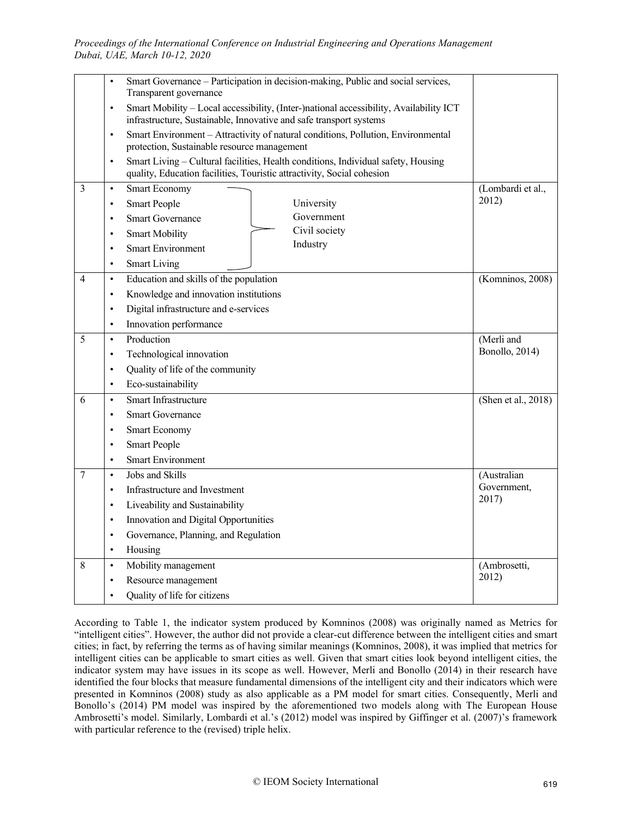|                | Smart Governance - Participation in decision-making, Public and social services,<br>$\bullet$                                                                             |                     |
|----------------|---------------------------------------------------------------------------------------------------------------------------------------------------------------------------|---------------------|
|                | Transparent governance                                                                                                                                                    |                     |
|                | Smart Mobility - Local accessibility, (Inter-)national accessibility, Availability ICT<br>$\bullet$<br>infrastructure, Sustainable, Innovative and safe transport systems |                     |
|                | Smart Environment - Attractivity of natural conditions, Pollution, Environmental<br>$\bullet$<br>protection, Sustainable resource management                              |                     |
|                | Smart Living - Cultural facilities, Health conditions, Individual safety, Housing<br>$\bullet$                                                                            |                     |
|                | quality, Education facilities, Touristic attractivity, Social cohesion                                                                                                    |                     |
| $\overline{3}$ | <b>Smart Economy</b><br>$\bullet$                                                                                                                                         | (Lombardi et al.,   |
|                | <b>Smart People</b><br>University<br>$\bullet$                                                                                                                            | 2012)               |
|                | Government<br><b>Smart Governance</b><br>$\bullet$                                                                                                                        |                     |
|                | Civil society<br><b>Smart Mobility</b><br>$\bullet$                                                                                                                       |                     |
|                | Industry<br><b>Smart Environment</b><br>$\bullet$                                                                                                                         |                     |
|                | <b>Smart Living</b><br>$\bullet$                                                                                                                                          |                     |
| 4              | Education and skills of the population<br>$\bullet$                                                                                                                       | (Komninos, 2008)    |
|                | Knowledge and innovation institutions<br>$\bullet$                                                                                                                        |                     |
|                | Digital infrastructure and e-services<br>$\bullet$                                                                                                                        |                     |
|                | Innovation performance<br>$\bullet$                                                                                                                                       |                     |
| 5              | Production<br>$\bullet$                                                                                                                                                   | (Merli and          |
|                | Technological innovation<br>$\bullet$                                                                                                                                     | Bonollo, 2014)      |
|                | Quality of life of the community<br>$\bullet$                                                                                                                             |                     |
|                | Eco-sustainability<br>$\bullet$                                                                                                                                           |                     |
| 6              | Smart Infrastructure<br>$\bullet$                                                                                                                                         | (Shen et al., 2018) |
|                | <b>Smart Governance</b><br>$\bullet$                                                                                                                                      |                     |
|                | Smart Economy<br>$\bullet$                                                                                                                                                |                     |
|                | <b>Smart People</b><br>$\bullet$                                                                                                                                          |                     |
|                | <b>Smart Environment</b><br>$\bullet$                                                                                                                                     |                     |
| $\overline{7}$ | Jobs and Skills<br>$\bullet$                                                                                                                                              | (Australian         |
|                | Infrastructure and Investment<br>$\bullet$                                                                                                                                | Government,         |
|                | Liveability and Sustainability<br>$\bullet$                                                                                                                               | 2017)               |
|                | Innovation and Digital Opportunities<br>$\bullet$                                                                                                                         |                     |
|                | Governance, Planning, and Regulation<br>$\bullet$                                                                                                                         |                     |
|                | Housing<br>$\bullet$                                                                                                                                                      |                     |
| 8              | Mobility management<br>$\bullet$                                                                                                                                          | (Ambrosetti,        |
|                | Resource management<br>$\bullet$                                                                                                                                          | 2012)               |
|                | Quality of life for citizens                                                                                                                                              |                     |

According to Table 1, the indicator system produced by Komninos (2008) was originally named as Metrics for "intelligent cities". However, the author did not provide a clear-cut difference between the intelligent cities and smart cities; in fact, by referring the terms as of having similar meanings (Komninos, 2008), it was implied that metrics for intelligent cities can be applicable to smart cities as well. Given that smart cities look beyond intelligent cities, the indicator system may have issues in its scope as well. However, Merli and Bonollo (2014) in their research have identified the four blocks that measure fundamental dimensions of the intelligent city and their indicators which were presented in Komninos (2008) study as also applicable as a PM model for smart cities. Consequently, Merli and Bonollo's (2014) PM model was inspired by the aforementioned two models along with The European House Ambrosetti's model. Similarly, Lombardi et al.'s (2012) model was inspired by Giffinger et al. (2007)'s framework with particular reference to the (revised) triple helix.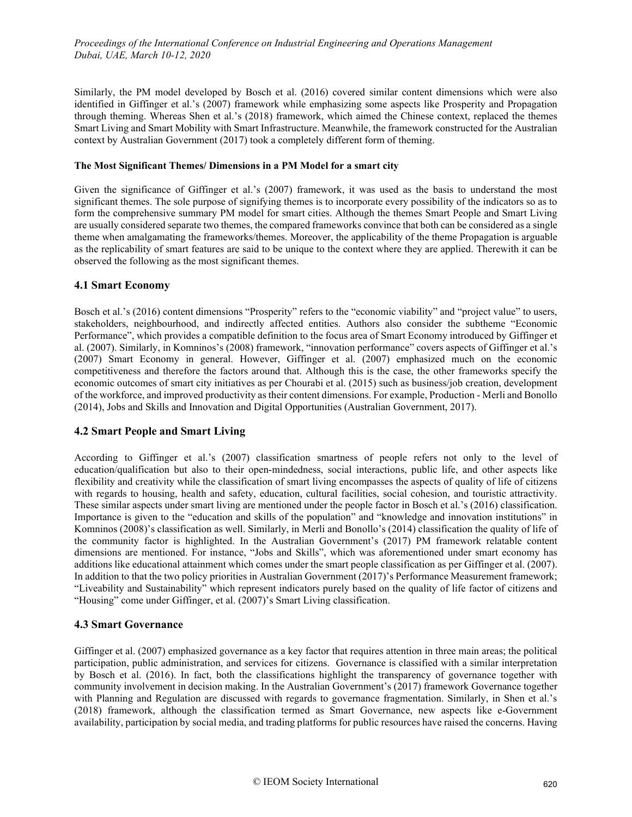Similarly, the PM model developed by Bosch et al. (2016) covered similar content dimensions which were also identified in Giffinger et al.'s (2007) framework while emphasizing some aspects like Prosperity and Propagation through theming. Whereas Shen et al.'s (2018) framework, which aimed the Chinese context, replaced the themes Smart Living and Smart Mobility with Smart Infrastructure. Meanwhile, the framework constructed for the Australian context by Australian Government (2017) took a completely different form of theming.

#### **The Most Significant Themes/ Dimensions in a PM Model for a smart city**

Given the significance of Giffinger et al.'s (2007) framework, it was used as the basis to understand the most significant themes. The sole purpose of signifying themes is to incorporate every possibility of the indicators so as to form the comprehensive summary PM model for smart cities. Although the themes Smart People and Smart Living are usually considered separate two themes, the compared frameworks convince that both can be considered as a single theme when amalgamating the frameworks/themes. Moreover, the applicability of the theme Propagation is arguable as the replicability of smart features are said to be unique to the context where they are applied. Therewith it can be observed the following as the most significant themes.

#### **4.1 Smart Economy**

Bosch et al.'s (2016) content dimensions "Prosperity" refers to the "economic viability" and "project value" to users, stakeholders, neighbourhood, and indirectly affected entities. Authors also consider the subtheme "Economic Performance", which provides a compatible definition to the focus area of Smart Economy introduced by Giffinger et al. (2007). Similarly, in Komninos's (2008) framework, "innovation performance" covers aspects of Giffinger et al.'s (2007) Smart Economy in general. However, Giffinger et al. (2007) emphasized much on the economic competitiveness and therefore the factors around that. Although this is the case, the other frameworks specify the economic outcomes of smart city initiatives as per Chourabi et al. (2015) such as business/job creation, development of the workforce, and improved productivity as their content dimensions. For example, Production - Merli and Bonollo (2014), Jobs and Skills and Innovation and Digital Opportunities (Australian Government, 2017).

## **4.2 Smart People and Smart Living**

According to Giffinger et al.'s (2007) classification smartness of people refers not only to the level of education/qualification but also to their open-mindedness, social interactions, public life, and other aspects like flexibility and creativity while the classification of smart living encompasses the aspects of quality of life of citizens with regards to housing, health and safety, education, cultural facilities, social cohesion, and touristic attractivity. These similar aspects under smart living are mentioned under the people factor in Bosch et al.'s (2016) classification. Importance is given to the "education and skills of the population" and "knowledge and innovation institutions" in Komninos (2008)'s classification as well. Similarly, in Merli and Bonollo's (2014) classification the quality of life of the community factor is highlighted. In the Australian Government's (2017) PM framework relatable content dimensions are mentioned. For instance, "Jobs and Skills", which was aforementioned under smart economy has additions like educational attainment which comes under the smart people classification as per Giffinger et al. (2007). In addition to that the two policy priorities in Australian Government (2017)'s Performance Measurement framework; "Liveability and Sustainability" which represent indicators purely based on the quality of life factor of citizens and "Housing" come under Giffinger, et al. (2007)'s Smart Living classification.

#### **4.3 Smart Governance**

Giffinger et al. (2007) emphasized governance as a key factor that requires attention in three main areas; the political participation, public administration, and services for citizens. Governance is classified with a similar interpretation by Bosch et al. (2016). In fact, both the classifications highlight the transparency of governance together with community involvement in decision making. In the Australian Government's (2017) framework Governance together with Planning and Regulation are discussed with regards to governance fragmentation. Similarly, in Shen et al.'s (2018) framework, although the classification termed as Smart Governance, new aspects like e-Government availability, participation by social media, and trading platforms for public resources have raised the concerns. Having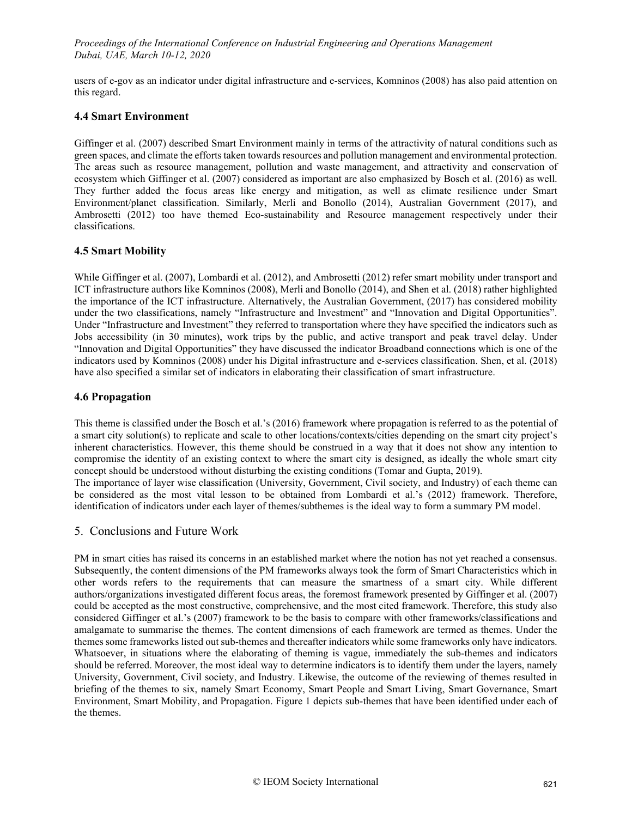users of e-gov as an indicator under digital infrastructure and e-services, Komninos (2008) has also paid attention on this regard.

#### **4.4 Smart Environment**

Giffinger et al. (2007) described Smart Environment mainly in terms of the attractivity of natural conditions such as green spaces, and climate the efforts taken towards resources and pollution management and environmental protection. The areas such as resource management, pollution and waste management, and attractivity and conservation of ecosystem which Giffinger et al. (2007) considered as important are also emphasized by Bosch et al. (2016) as well. They further added the focus areas like energy and mitigation, as well as climate resilience under Smart Environment/planet classification. Similarly, Merli and Bonollo (2014), Australian Government (2017), and Ambrosetti (2012) too have themed Eco-sustainability and Resource management respectively under their classifications.

#### **4.5 Smart Mobility**

While Giffinger et al. (2007), Lombardi et al. (2012), and Ambrosetti (2012) refer smart mobility under transport and ICT infrastructure authors like Komninos (2008), Merli and Bonollo (2014), and Shen et al. (2018) rather highlighted the importance of the ICT infrastructure. Alternatively, the Australian Government, (2017) has considered mobility under the two classifications, namely "Infrastructure and Investment" and "Innovation and Digital Opportunities". Under "Infrastructure and Investment" they referred to transportation where they have specified the indicators such as Jobs accessibility (in 30 minutes), work trips by the public, and active transport and peak travel delay. Under "Innovation and Digital Opportunities" they have discussed the indicator Broadband connections which is one of the indicators used by Komninos (2008) under his Digital infrastructure and e-services classification. Shen, et al. (2018) have also specified a similar set of indicators in elaborating their classification of smart infrastructure.

#### **4.6 Propagation**

This theme is classified under the Bosch et al.'s (2016) framework where propagation is referred to as the potential of a smart city solution(s) to replicate and scale to other locations/contexts/cities depending on the smart city project's inherent characteristics. However, this theme should be construed in a way that it does not show any intention to compromise the identity of an existing context to where the smart city is designed, as ideally the whole smart city concept should be understood without disturbing the existing conditions (Tomar and Gupta, 2019).

The importance of layer wise classification (University, Government, Civil society, and Industry) of each theme can be considered as the most vital lesson to be obtained from Lombardi et al.'s (2012) framework. Therefore, identification of indicators under each layer of themes/subthemes is the ideal way to form a summary PM model.

## 5. Conclusions and Future Work

PM in smart cities has raised its concerns in an established market where the notion has not yet reached a consensus. Subsequently, the content dimensions of the PM frameworks always took the form of Smart Characteristics which in other words refers to the requirements that can measure the smartness of a smart city. While different authors/organizations investigated different focus areas, the foremost framework presented by Giffinger et al. (2007) could be accepted as the most constructive, comprehensive, and the most cited framework. Therefore, this study also considered Giffinger et al.'s (2007) framework to be the basis to compare with other frameworks/classifications and amalgamate to summarise the themes. The content dimensions of each framework are termed as themes. Under the themes some frameworks listed out sub-themes and thereafter indicators while some frameworks only have indicators. Whatsoever, in situations where the elaborating of theming is vague, immediately the sub-themes and indicators should be referred. Moreover, the most ideal way to determine indicators is to identify them under the layers, namely University, Government, Civil society, and Industry. Likewise, the outcome of the reviewing of themes resulted in briefing of the themes to six, namely Smart Economy, Smart People and Smart Living, Smart Governance, Smart Environment, Smart Mobility, and Propagation. Figure 1 depicts sub-themes that have been identified under each of the themes.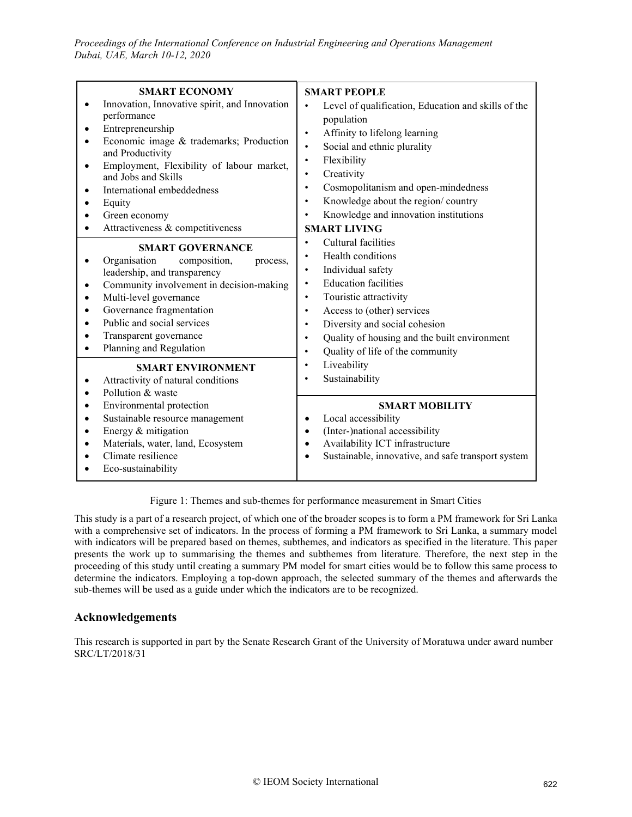| <b>SMART ECONOMY</b><br>Innovation, Innovative spirit, and Innovation<br>performance<br>Entrepreneurship<br>Economic image & trademarks; Production<br>and Productivity<br>Employment, Flexibility of labour market,<br>and Jobs and Skills<br>International embeddedness<br>$\bullet$<br>Equity<br>Green economy<br>Attractiveness & competitiveness | <b>SMART PEOPLE</b><br>Level of qualification, Education and skills of the<br>$\bullet$<br>population<br>Affinity to lifelong learning<br>$\bullet$<br>Social and ethnic plurality<br>$\bullet$<br>Flexibility<br>$\bullet$<br>Creativity<br>$\bullet$<br>Cosmopolitanism and open-mindedness<br>$\bullet$<br>Knowledge about the region/country<br>٠<br>Knowledge and innovation institutions<br><b>SMART LIVING</b>                                                                                                                                       |
|-------------------------------------------------------------------------------------------------------------------------------------------------------------------------------------------------------------------------------------------------------------------------------------------------------------------------------------------------------|-------------------------------------------------------------------------------------------------------------------------------------------------------------------------------------------------------------------------------------------------------------------------------------------------------------------------------------------------------------------------------------------------------------------------------------------------------------------------------------------------------------------------------------------------------------|
| <b>SMART GOVERNANCE</b><br>Organisation<br>composition,<br>process,<br>leadership, and transparency<br>Community involvement in decision-making<br>Multi-level governance<br>$\bullet$<br>Governance fragmentation<br>Public and social services<br>Transparent governance<br>Planning and Regulation                                                 | Cultural facilities<br>Health conditions<br>٠<br>Individual safety<br>$\bullet$<br><b>Education facilities</b><br>$\bullet$<br>Touristic attractivity<br>$\bullet$<br>Access to (other) services<br>$\bullet$<br>Diversity and social cohesion<br>Quality of housing and the built environment<br>Quality of life of the community<br>$\bullet$<br>Liveability<br>Sustainability<br><b>SMART MOBILITY</b><br>Local accessibility<br>(Inter-)national accessibility<br>Availability ICT infrastructure<br>Sustainable, innovative, and safe transport system |
| <b>SMART ENVIRONMENT</b><br>Attractivity of natural conditions<br>Pollution & waste<br>Environmental protection<br>Sustainable resource management<br>Energy & mitigation<br>Materials, water, land, Ecosystem<br>Climate resilience<br>Eco-sustainability                                                                                            |                                                                                                                                                                                                                                                                                                                                                                                                                                                                                                                                                             |

Figure 1: Themes and sub-themes for performance measurement in Smart Cities

This study is a part of a research project, of which one of the broader scopes is to form a PM framework for Sri Lanka with a comprehensive set of indicators. In the process of forming a PM framework to Sri Lanka, a summary model with indicators will be prepared based on themes, subthemes, and indicators as specified in the literature. This paper presents the work up to summarising the themes and subthemes from literature. Therefore, the next step in the proceeding of this study until creating a summary PM model for smart cities would be to follow this same process to determine the indicators. Employing a top-down approach, the selected summary of the themes and afterwards the sub-themes will be used as a guide under which the indicators are to be recognized.

## **Acknowledgements**

This research is supported in part by the Senate Research Grant of the University of Moratuwa under award number SRC/LT/2018/31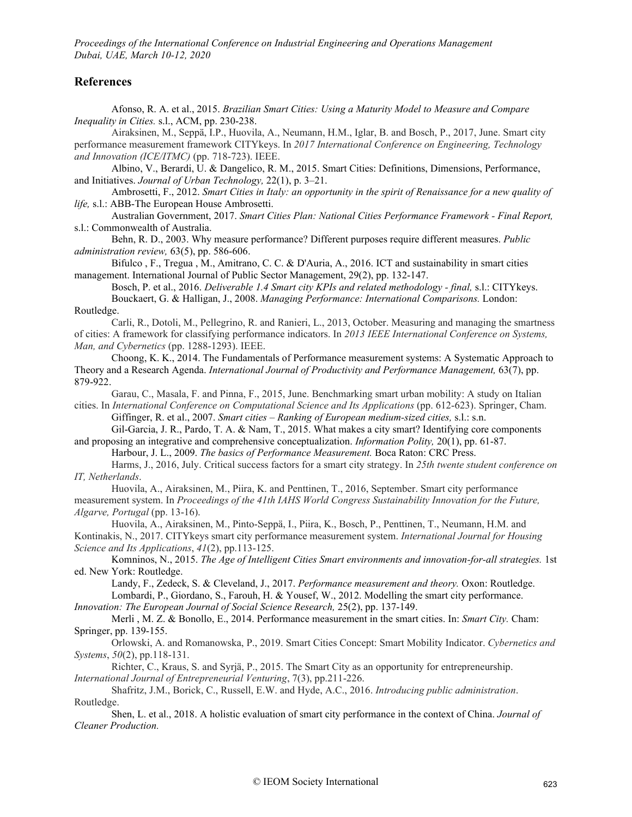#### **References**

Afonso, R. A. et al., 2015. *Brazilian Smart Cities: Using a Maturity Model to Measure and Compare Inequality in Cities.* s.l., ACM, pp. 230-238.

Airaksinen, M., Seppä, I.P., Huovila, A., Neumann, H.M., Iglar, B. and Bosch, P., 2017, June. Smart city performance measurement framework CITYkeys. In *2017 International Conference on Engineering, Technology and Innovation (ICE/ITMC)* (pp. 718-723). IEEE.

Albino, V., Berardi, U. & Dangelico, R. M., 2015. Smart Cities: Definitions, Dimensions, Performance, and Initiatives. *Journal of Urban Technology,* 22(1), p. 3–21.

Ambrosetti, F., 2012. *Smart Cities in Italy: an opportunity in the spirit of Renaissance for a new quality of life,* s.l.: ABB-The European House Ambrosetti.

Australian Government, 2017. *Smart Cities Plan: National Cities Performance Framework - Final Report,*  s.l.: Commonwealth of Australia.

Behn, R. D., 2003. Why measure performance? Different purposes require different measures. *Public administration review,* 63(5), pp. 586-606.

Bifulco , F., Tregua , M., Amitrano, C. C. & D'Auria, A., 2016. ICT and sustainability in smart cities management. International Journal of Public Sector Management, 29(2), pp. 132-147.

Bosch, P. et al., 2016. *Deliverable 1.4 Smart city KPIs and related methodology - final, s.l.: CITYkeys.* Bouckaert, G. & Halligan, J., 2008. *Managing Performance: International Comparisons.* London: Routledge.

Carli, R., Dotoli, M., Pellegrino, R. and Ranieri, L., 2013, October. Measuring and managing the smartness of cities: A framework for classifying performance indicators. In *2013 IEEE International Conference on Systems, Man, and Cybernetics* (pp. 1288-1293). IEEE.

Choong, K. K., 2014. The Fundamentals of Performance measurement systems: A Systematic Approach to Theory and a Research Agenda. *International Journal of Productivity and Performance Management,* 63(7), pp. 879-922.

Garau, C., Masala, F. and Pinna, F., 2015, June. Benchmarking smart urban mobility: A study on Italian cities. In *International Conference on Computational Science and Its Applications* (pp. 612-623). Springer, Cham.

Giffinger, R. et al., 2007. *Smart cities – Ranking of European medium-sized cities,* s.l.: s.n.

Gil-Garcia, J. R., Pardo, T. A. & Nam, T., 2015. What makes a city smart? Identifying core components and proposing an integrative and comprehensive conceptualization. *Information Polity,* 20(1), pp. 61-87.

Harbour, J. L., 2009. *The basics of Performance Measurement.* Boca Raton: CRC Press.

Harms, J., 2016, July. Critical success factors for a smart city strategy. In *25th twente student conference on IT, Netherlands*.

Huovila, A., Airaksinen, M., Piira, K. and Penttinen, T., 2016, September. Smart city performance measurement system. In *Proceedings of the 41th IAHS World Congress Sustainability Innovation for the Future, Algarve, Portugal* (pp. 13-16).

Huovila, A., Airaksinen, M., Pinto-Seppä, I., Piira, K., Bosch, P., Penttinen, T., Neumann, H.M. and Kontinakis, N., 2017. CITYkeys smart city performance measurement system. *International Journal for Housing Science and Its Applications*, *41*(2), pp.113-125.

Komninos, N., 2015. *The Age of Intelligent Cities Smart environments and innovation-for-all strategies.* 1st ed. New York: Routledge.

Landy, F., Zedeck, S. & Cleveland, J., 2017. *Performance measurement and theory.* Oxon: Routledge. Lombardi, P., Giordano, S., Farouh, H. & Yousef, W., 2012. Modelling the smart city performance.

*Innovation: The European Journal of Social Science Research,* 25(2), pp. 137-149.

Merli , M. Z. & Bonollo, E., 2014. Performance measurement in the smart cities. In: *Smart City.* Cham: Springer, pp. 139-155.

Orlowski, A. and Romanowska, P., 2019. Smart Cities Concept: Smart Mobility Indicator. *Cybernetics and Systems*, *50*(2), pp.118-131.

Richter, C., Kraus, S. and Syrjä, P., 2015. The Smart City as an opportunity for entrepreneurship. *International Journal of Entrepreneurial Venturing*, 7(3), pp.211-226.

Shafritz, J.M., Borick, C., Russell, E.W. and Hyde, A.C., 2016. *Introducing public administration*. Routledge.

Shen, L. et al., 2018. A holistic evaluation of smart city performance in the context of China. *Journal of Cleaner Production.*